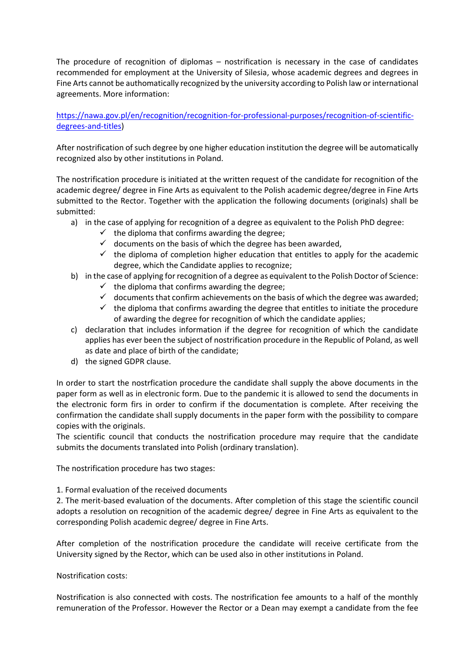The procedure of recognition of diplomas – nostrification is necessary in the case of candidates recommended for employment at the University of Silesia, whose academic degrees and degrees in Fine Arts cannot be authomatically recognized by the university according to Polish law or international agreements. More information:

## [https://nawa.gov.pl/en/recognition/recognition-for-professional-purposes/recognition-of-scientific](https://nawa.gov.pl/en/recognition/recognition-for-professional-purposes/recognition-of-scientific-degrees-and-titles)[degrees-and-titles\)](https://nawa.gov.pl/en/recognition/recognition-for-professional-purposes/recognition-of-scientific-degrees-and-titles)

After nostrification of such degree by one higher education institution the degree will be automatically recognized also by other institutions in Poland.

The nostrification procedure is initiated at the written request of the candidate for recognition of the academic degree/ degree in Fine Arts as equivalent to the Polish academic degree/degree in Fine Arts submitted to the Rector. Together with the application the following documents (originals) shall be submitted:

- a) in the case of applying for recognition of a degree as equivalent to the Polish PhD degree:
	- $\checkmark$  the diploma that confirms awarding the degree;
	- $\checkmark$  documents on the basis of which the degree has been awarded,
	- $\checkmark$  the diploma of completion higher education that entitles to apply for the academic degree, which the Candidate applies to recognize;
- b) in the case of applying for recognition of a degree as equivalent to the Polish Doctor of Science:
	- $\checkmark$  the diploma that confirms awarding the degree;
	- $\checkmark$  documents that confirm achievements on the basis of which the degree was awarded;
	- $\checkmark$  the diploma that confirms awarding the degree that entitles to initiate the procedure of awarding the degree for recognition of which the candidate applies;
- c) declaration that includes information if the degree for recognition of which the candidate applies has ever been the subject of nostrification procedure in the Republic of Poland, as well as date and place of birth of the candidate;
- d) the signed GDPR clause.

In order to start the nostrfication procedure the candidate shall supply the above documents in the paper form as well as in electronic form. Due to the pandemic it is allowed to send the documents in the electronic form firs in order to confirm if the documentation is complete. After receiving the confirmation the candidate shall supply documents in the paper form with the possibility to compare copies with the originals.

The scientific council that conducts the nostrification procedure may require that the candidate submits the documents translated into Polish (ordinary translation).

The nostrification procedure has two stages:

1. Formal evaluation of the received documents

2. The merit-based evaluation of the documents. After completion of this stage the scientific council adopts a resolution on recognition of the academic degree/ degree in Fine Arts as equivalent to the corresponding Polish academic degree/ degree in Fine Arts.

After completion of the nostrification procedure the candidate will receive certificate from the University signed by the Rector, which can be used also in other institutions in Poland.

## Nostrification costs:

Nostrification is also connected with costs. The nostrification fee amounts to a half of the monthly remuneration of the Professor. However the Rector or a Dean may exempt a candidate from the fee